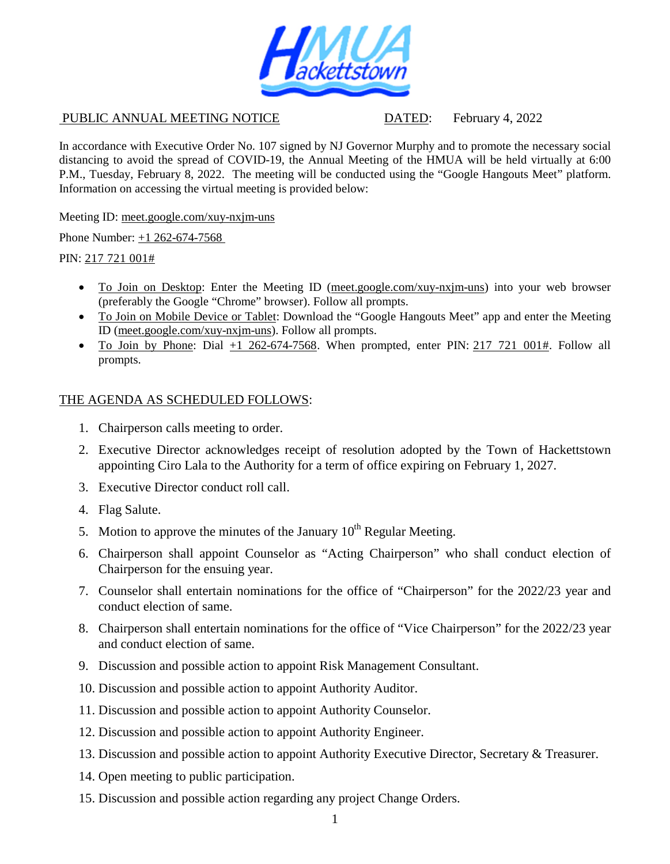

PUBLIC ANNUAL MEETING NOTICE DATED: February 4, 2022

In accordance with Executive Order No. 107 signed by NJ Governor Murphy and to promote the necessary social distancing to avoid the spread of COVID-19, the Annual Meeting of the HMUA will be held virtually at 6:00 P.M., Tuesday, February 8, 2022. The meeting will be conducted using the "Google Hangouts Meet" platform. Information on accessing the virtual meeting is provided below:

Meeting ID: meet.google.com/xuy-nxjm-uns

Phone Number: +1 262-674-7568

PIN: 217 721 001#

- To Join on Desktop: Enter the Meeting ID (meet.google.com/xuy-nxjm-uns) into your web browser (preferably the Google "Chrome" browser). Follow all prompts.
- To Join on Mobile Device or Tablet: Download the "Google Hangouts Meet" app and enter the Meeting ID (meet.google.com/xuy-nxjm-uns). Follow all prompts.
- To Join by Phone: Dial  $+1$  262-674-7568. When prompted, enter PIN: 217 721 001#. Follow all prompts.

## THE AGENDA AS SCHEDULED FOLLOWS:

- 1. Chairperson calls meeting to order.
- 2. Executive Director acknowledges receipt of resolution adopted by the Town of Hackettstown appointing Ciro Lala to the Authority for a term of office expiring on February 1, 2027.
- 3. Executive Director conduct roll call.
- 4. Flag Salute.
- 5. Motion to approve the minutes of the January  $10^{th}$  Regular Meeting.
- 6. Chairperson shall appoint Counselor as "Acting Chairperson" who shall conduct election of Chairperson for the ensuing year.
- 7. Counselor shall entertain nominations for the office of "Chairperson" for the 2022/23 year and conduct election of same.
- 8. Chairperson shall entertain nominations for the office of "Vice Chairperson" for the 2022/23 year and conduct election of same.
- 9. Discussion and possible action to appoint Risk Management Consultant.
- 10. Discussion and possible action to appoint Authority Auditor.
- 11. Discussion and possible action to appoint Authority Counselor.
- 12. Discussion and possible action to appoint Authority Engineer.
- 13. Discussion and possible action to appoint Authority Executive Director, Secretary & Treasurer.
- 14. Open meeting to public participation.
- 15. Discussion and possible action regarding any project Change Orders.